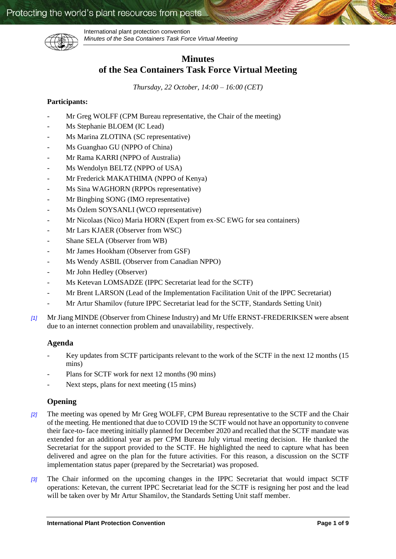

International plant protection convention *Minutes of the Sea Containers Task Force Virtual Meeting*

# **Minutes of the Sea Containers Task Force Virtual Meeting**

*Thursday, 22 October, 14:00 – 16:00 (CET)*

# **Participants:**

- Mr Greg WOLFF (CPM Bureau representative, the Chair of the meeting)
- Ms Stephanie BLOEM (IC Lead)
- Ms Marina ZLOTINA (SC representative)
- Ms Guanghao GU (NPPO of China)
- Mr Rama KARRI (NPPO of Australia)
- Ms Wendolyn BELTZ (NPPO of USA)
- Mr Frederick MAKATHIMA (NPPO of Kenya)
- Ms Sina WAGHORN (RPPOs representative)
- Mr Bingbing SONG (IMO representative)
- Ms Özlem SOYSANLI (WCO representative)
- Mr Nicolaas (Nico) Maria HORN (Expert from ex-SC EWG for sea containers)
- Mr Lars KJAER (Observer from WSC)
- Shane SELA (Observer from WB)
- Mr James Hookham (Observer from GSF)
- Ms Wendy ASBIL (Observer from Canadian NPPO)
- Mr John Hedley (Observer)
- Ms Ketevan LOMSADZE (IPPC Secretariat lead for the SCTF)
- Mr Brent LARSON (Lead of the Implementation Facilitation Unit of the IPPC Secretariat)
- Mr Artur Shamilov (future IPPC Secretariat lead for the SCTF, Standards Setting Unit)
- *[1]* Mr Jiang MINDE (Observer from Chinese Industry) and Mr Uffe ERNST-FREDERIKSEN were absent due to an internet connection problem and unavailability, respectively.

# **Agenda**

- Key updates from SCTF participants relevant to the work of the SCTF in the next 12 months (15 mins)
- Plans for SCTF work for next 12 months (90 mins)
- Next steps, plans for next meeting (15 mins)

# **Opening**

- *[2]* The meeting was opened by Mr Greg WOLFF, CPM Bureau representative to the SCTF and the Chair of the meeting. He mentioned that due to COVID 19 the SCTF would not have an opportunity to convene their face-to- face meeting initially planned for December 2020 and recalled that the SCTF mandate was extended for an additional year as per CPM Bureau July virtual meeting decision. He thanked the Secretariat for the support provided to the SCTF. He highlighted the need to capture what has been delivered and agree on the plan for the future activities. For this reason, a discussion on the SCTF implementation status paper (prepared by the Secretariat) was proposed.
- *[3]* The Chair informed on the upcoming changes in the IPPC Secretariat that would impact SCTF operations: Ketevan, the current IPPC Secretariat lead for the SCTF is resigning her post and the lead will be taken over by Mr Artur Shamilov, the Standards Setting Unit staff member.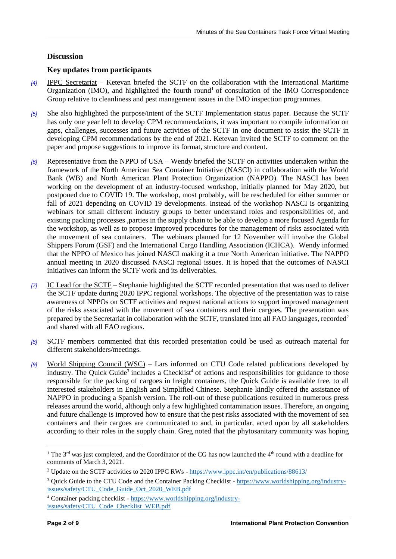# **Discussion**

# **Key updates from participants**

- *[4]* IPPC Secretariat Ketevan briefed the SCTF on the collaboration with the International Maritime Organization (IMO), and highlighted the fourth round<sup>1</sup> of consultation of the IMO Correspondence Group relative to cleanliness and pest management issues in the IMO inspection programmes.
- *[5]* She also highlighted the purpose/intent of the SCTF Implementation status paper. Because the SCTF has only one year left to develop CPM recommendations, it was important to compile information on gaps, challenges, successes and future activities of the SCTF in one document to assist the SCTF in developing CPM recommendations by the end of 2021. Ketevan invited the SCTF to comment on the paper and propose suggestions to improve its format, structure and content.
- *[6]* Representative from the NPPO of USA Wendy briefed the SCTF on activities undertaken within the framework of the North American Sea Container Initiative (NASCI) in collaboration with the World Bank (WB) and North American Plant Protection Organization (NAPPO). The NASCI has been working on the development of an industry-focused workshop, initially planned for May 2020, but postponed due to COVID 19. The workshop, most probably, will be rescheduled for either summer or fall of 2021 depending on COVID 19 developments. Instead of the workshop NASCI is organizing webinars for small different industry groups to better understand roles and responsibilities of, and existing packing processes ,parties in the supply chain to be able to develop a more focused Agenda for the workshop, as well as to propose improved procedures for the management of risks associated with the movement of sea containers. The webinars planned for 12 November will involve the Global Shippers Forum (GSF) and the International Cargo Handling Association (ICHCA). Wendy informed that the NPPO of Mexico has joined NASCI making it a true North American initiative. The NAPPO annual meeting in 2020 discussed NASCI regional issues. It is hoped that the outcomes of NASCI initiatives can inform the SCTF work and its deliverables.
- *[7]* IC Lead for the SCTF Stephanie highlighted the SCTF recorded presentation that was used to deliver the SCTF update during 2020 IPPC regional workshops. The objective of the presentation was to raise awareness of NPPOs on SCTF activities and request national actions to support improved management of the risks associated with the movement of sea containers and their cargoes. The presentation was prepared by the Secretariat in collaboration with the SCTF, translated into all FAO languages, recorded<sup>2</sup> and shared with all FAO regions.
- *[8]* SCTF members commented that this recorded presentation could be used as outreach material for different stakeholders/meetings.
- *[9]* World Shipping Council (WSC) Lars informed on CTU Code related publications developed by industry. The Quick Guide<sup>3</sup> includes a Checklist<sup>4</sup> of actions and responsibilities for guidance to those responsible for the packing of cargoes in freight containers, the Quick Guide is available free, to all interested stakeholders in English and Simplified Chinese. Stephanie kindly offered the assistance of NAPPO in producing a Spanish version. The roll-out of these publications resulted in numerous press releases around the world, although only a few highlighted contamination issues. Therefore, an ongoing and future challenge is improved how to ensure that the pest risks associated with the movement of sea containers and their cargoes are communicated to and, in particular, acted upon by all stakeholders according to their roles in the supply chain. Greg noted that the phytosanitary community was hoping

 $\overline{a}$ 

<sup>&</sup>lt;sup>1</sup> The 3<sup>rd</sup> was just completed, and the Coordinator of the CG has now launched the  $4<sup>th</sup>$  round with a deadline for comments of March 3, 2021.

<sup>2</sup> Update on the SCTF activities to 2020 IPPC RWs - <https://www.ippc.int/en/publications/88613/>

<sup>3</sup> Quick Guide to the CTU Code and the Container Packing Checklist - [https://www.worldshipping.org/industry](https://www.worldshipping.org/industry-issues/safety/CTU_Code_Guide_Oct_2020_WEB.pdf)[issues/safety/CTU\\_Code\\_Guide\\_Oct\\_2020\\_WEB.pdf](https://www.worldshipping.org/industry-issues/safety/CTU_Code_Guide_Oct_2020_WEB.pdf)

<sup>4</sup> Container packing checklist - [https://www.worldshipping.org/industry](https://www.worldshipping.org/industry-issues/safety/CTU_Code_Checklist_WEB.pdf)[issues/safety/CTU\\_Code\\_Checklist\\_WEB.pdf](https://www.worldshipping.org/industry-issues/safety/CTU_Code_Checklist_WEB.pdf)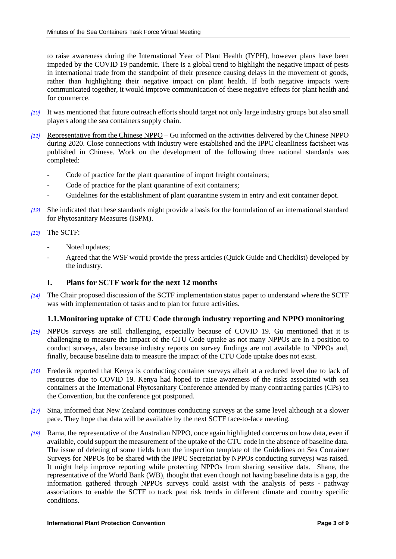to raise awareness during the International Year of Plant Health (IYPH), however plans have been impeded by the COVID 19 pandemic. There is a global trend to highlight the negative impact of pests in international trade from the standpoint of their presence causing delays in the movement of goods, rather than highlighting their negative impact on plant health. If both negative impacts were communicated together, it would improve communication of these negative effects for plant health and for commerce.

- *[10]* It was mentioned that future outreach efforts should target not only large industry groups but also small players along the sea containers supply chain.
- *[11]* Representative from the Chinese NPPO Gu informed on the activities delivered by the Chinese NPPO during 2020. Close connections with industry were established and the IPPC cleanliness factsheet was published in Chinese. Work on the development of the following three national standards was completed:
	- Code of practice for the plant quarantine of import freight containers;
	- Code of practice for the plant quarantine of exit containers;
	- Guidelines for the establishment of plant quarantine system in entry and exit container depot.
- *[12]* She indicated that these standards might provide a basis for the formulation of an international standard for Phytosanitary Measures (ISPM).

### *[13]* The SCTF:

- Noted updates;
- Agreed that the WSF would provide the press articles (Quick Guide and Checklist) developed by the industry.

# **I. Plans for SCTF work for the next 12 months**

*[14]* The Chair proposed discussion of the SCTF implementation status paper to understand where the SCTF was with implementation of tasks and to plan for future activities.

# **1.1.Monitoring uptake of CTU Code through industry reporting and NPPO monitoring**

- *[15]* NPPOs surveys are still challenging, especially because of COVID 19. Gu mentioned that it is challenging to measure the impact of the CTU Code uptake as not many NPPOs are in a position to conduct surveys, also because industry reports on survey findings are not available to NPPOs and, finally, because baseline data to measure the impact of the CTU Code uptake does not exist.
- *[16]* Frederik reported that Kenya is conducting container surveys albeit at a reduced level due to lack of resources due to COVID 19. Kenya had hoped to raise awareness of the risks associated with sea containers at the International Phytosanitary Conference attended by many contracting parties (CPs) to the Convention, but the conference got postponed.
- *[17]* Sina, informed that New Zealand continues conducting surveys at the same level although at a slower pace. They hope that data will be available by the next SCTF face-to-face meeting.
- *[18]* Rama, the representative of the Australian NPPO, once again highlighted concerns on how data, even if available, could support the measurement of the uptake of the CTU code in the absence of baseline data. The issue of deleting of some fields from the inspection template of the Guidelines on Sea Container Surveys for NPPOs (to be shared with the IPPC Secretariat by NPPOs conducting surveys) was raised. It might help improve reporting while protecting NPPOs from sharing sensitive data. Shane, the representative of the World Bank (WB), thought that even though not having baseline data is a gap, the information gathered through NPPOs surveys could assist with the analysis of pests - pathway associations to enable the SCTF to track pest risk trends in different climate and country specific conditions.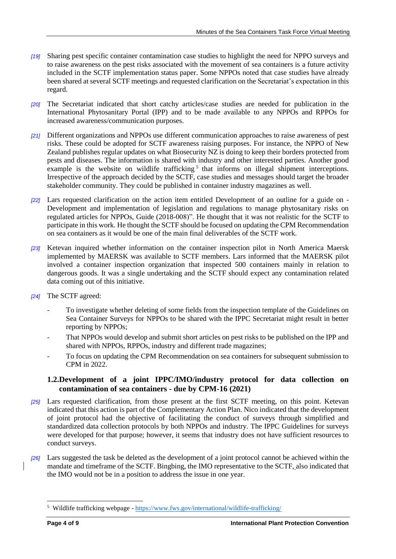- *[19]* Sharing pest specific container contamination case studies to highlight the need for NPPO surveys and to raise awareness on the pest risks associated with the movement of sea containers is a future activity included in the SCTF implementation status paper. Some NPPOs noted that case studies have already been shared at several SCTF meetings and requested clarification on the Secretariat's expectation in this regard.
- *[20]* The Secretariat indicated that short catchy articles/case studies are needed for publication in the International Phytosanitary Portal (IPP) and to be made available to any NPPOs and RPPOs for increased awareness/communication purposes.
- *[21]* Different organizations and NPPOs use different communication approaches to raise awareness of pest risks. These could be adopted for SCTF awareness raising purposes. For instance, the NPPO of New Zealand publishes regular updates on what Biosecurity NZ is doing to keep their borders protected from pests and diseases. The information is shared with industry and other interested parties. Another good example is the website on wildlife trafficking<sup>5</sup> that informs on illegal shipment interceptions. Irrespective of the approach decided by the SCTF, case studies and messages should target the broader stakeholder community. They could be published in container industry magazines as well.
- *[22]* Lars requested clarification on the action item entitled Development of an outline for a guide on Development and implementation of legislation and regulations to manage phytosanitary risks on regulated articles for NPPOs, Guide (2018-008)". He thought that it was not realistic for the SCTF to participate in this work. He thought the SCTF should be focused on updating the CPM Recommendation on sea containers as it would be one of the main final deliverables of the SCTF work.
- *[23]* Ketevan inquired whether information on the container inspection pilot in North America Maersk implemented by MAERSK was available to SCTF members. Lars informed that the MAERSK pilot involved a container inspection organization that inspected 500 containers mainly in relation to dangerous goods. It was a single undertaking and the SCTF should expect any contamination related data coming out of this initiative.
- *[24]* The SCTF agreed:
	- To investigate whether deleting of some fields from the inspection template of the Guidelines on Sea Container Surveys for NPPOs to be shared with the IPPC Secretariat might result in better reporting by NPPOs;
	- That NPPOs would develop and submit short articles on pest risks to be published on the IPP and shared with NPPOs, RPPOs, industry and different trade magazines;
	- To focus on updating the CPM Recommendation on sea containers for subsequent submission to CPM in 2022.

# **1.2.Development of a joint IPPC/IMO/industry protocol for data collection on contamination of sea containers - due by CPM-16 (2021)**

- *[25]* Lars requested clarification, from those present at the first SCTF meeting, on this point. Ketevan indicated that this action is part of the Complementary Action Plan. Nico indicated that the development of joint protocol had the objective of facilitating the conduct of surveys through simplified and standardized data collection protocols by both NPPOs and industry. The IPPC Guidelines for surveys were developed for that purpose; however, it seems that industry does not have sufficient resources to conduct surveys.
- *[26]* Lars suggested the task be deleted as the development of a joint protocol cannot be achieved within the mandate and timeframe of the SCTF. Bingbing, the IMO representative to the SCTF, also indicated that the IMO would not be in a position to address the issue in one year.

 $\overline{a}$ 

<sup>&</sup>lt;sup>5</sup> Wildlife trafficking webpage - <https://www.fws.gov/international/wildlife-trafficking/>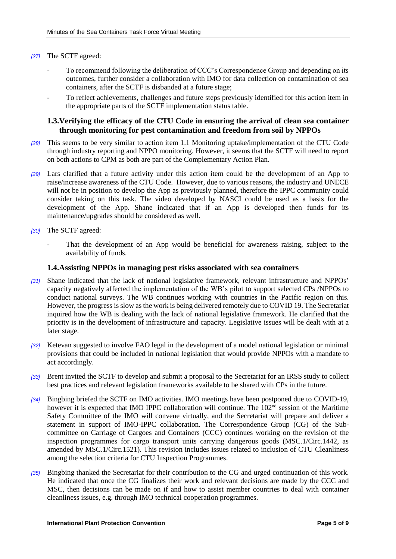### *[27]* The SCTF agreed:

- To recommend following the deliberation of CCC's Correspondence Group and depending on its outcomes, further consider a collaboration with IMO for data collection on contamination of sea containers, after the SCTF is disbanded at a future stage;
- To reflect achievements, challenges and future steps previously identified for this action item in the appropriate parts of the SCTF implementation status table.

# **1.3.Verifying the efficacy of the CTU Code in ensuring the arrival of clean sea container through monitoring for pest contamination and freedom from soil by NPPOs**

- *[28]* This seems to be very similar to action item 1.1 Monitoring uptake/implementation of the CTU Code through industry reporting and NPPO monitoring. However, it seems that the SCTF will need to report on both actions to CPM as both are part of the Complementary Action Plan.
- *[29]* Lars clarified that a future activity under this action item could be the development of an App to raise/increase awareness of the CTU Code. However, due to various reasons, the industry and UNECE will not be in position to develop the App as previously planned, therefore the IPPC community could consider taking on this task. The video developed by NASCI could be used as a basis for the development of the App. Shane indicated that if an App is developed then funds for its maintenance/upgrades should be considered as well.
- *[30]* The SCTF agreed:
	- That the development of an App would be beneficial for awareness raising, subject to the availability of funds.

### **1.4.Assisting NPPOs in managing pest risks associated with sea containers**

- *[31]* Shane indicated that the lack of national legislative framework, relevant infrastructure and NPPOs' capacity negatively affected the implementation of the WB's pilot to support selected CPs /NPPOs to conduct national surveys. The WB continues working with countries in the Pacific region on this. However, the progress is slow as the work is being delivered remotely due to COVID 19. The Secretariat inquired how the WB is dealing with the lack of national legislative framework. He clarified that the priority is in the development of infrastructure and capacity. Legislative issues will be dealt with at a later stage.
- *[32]* Ketevan suggested to involve FAO legal in the development of a model national legislation or minimal provisions that could be included in national legislation that would provide NPPOs with a mandate to act accordingly.
- *[33]* Brent invited the SCTF to develop and submit a proposal to the Secretariat for an IRSS study to collect best practices and relevant legislation frameworks available to be shared with CPs in the future.
- *[34]* Bingbing briefed the SCTF on IMO activities. IMO meetings have been postponed due to COVID-19, however it is expected that IMO IPPC collaboration will continue. The 102<sup>nd</sup> session of the Maritime Safety Committee of the IMO will convene virtually, and the Secretariat will prepare and deliver a statement in support of IMO-IPPC collaboration. The Correspondence Group (CG) of the Subcommittee on Carriage of Cargoes and Containers (CCC) continues working on the revision of the inspection programmes for cargo transport units carrying dangerous goods (MSC.1/Circ.1442, as amended by MSC.1/Circ.1521). This revision includes issues related to inclusion of CTU Cleanliness among the selection criteria for CTU Inspection Programmes.
- *[35]* Bingbing thanked the Secretariat for their contribution to the CG and urged continuation of this work. He indicated that once the CG finalizes their work and relevant decisions are made by the CCC and MSC, then decisions can be made on if and how to assist member countries to deal with container cleanliness issues, e.g. through IMO technical cooperation programmes.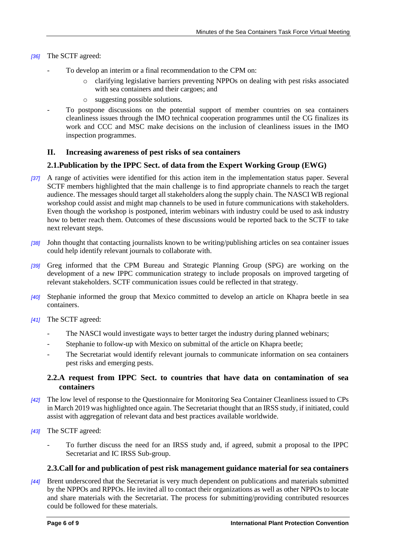- *[36]* The SCTF agreed:
	- To develop an interim or a final recommendation to the CPM on:
		- o clarifying legislative barriers preventing NPPOs on dealing with pest risks associated with sea containers and their cargoes; and
		- o suggesting possible solutions.
	- To postpone discussions on the potential support of member countries on sea containers cleanliness issues through the IMO technical cooperation programmes until the CG finalizes its work and CCC and MSC make decisions on the inclusion of cleanliness issues in the IMO inspection programmes.

# **II. Increasing awareness of pest risks of sea containers**

# **2.1.Publication by the IPPC Sect. of data from the Expert Working Group (EWG)**

- *[37]* A range of activities were identified for this action item in the implementation status paper. Several SCTF members highlighted that the main challenge is to find appropriate channels to reach the target audience. The messages should target all stakeholders along the supply chain. The NASCI WB regional workshop could assist and might map channels to be used in future communications with stakeholders. Even though the workshop is postponed, interim webinars with industry could be used to ask industry how to better reach them. Outcomes of these discussions would be reported back to the SCTF to take next relevant steps.
- *[38]* John thought that contacting journalists known to be writing/publishing articles on sea container issues could help identify relevant journals to collaborate with.
- *[39]* Greg informed that the CPM Bureau and Strategic Planning Group (SPG) are working on the development of a new IPPC communication strategy to include proposals on improved targeting of relevant stakeholders. SCTF communication issues could be reflected in that strategy.
- *[40]* Stephanie informed the group that Mexico committed to develop an article on Khapra beetle in sea containers.
- *[41]* The SCTF agreed:
	- The NASCI would investigate ways to better target the industry during planned webinars;
	- Stephanie to follow-up with Mexico on submittal of the article on Khapra beetle;
	- The Secretariat would identify relevant journals to communicate information on sea containers pest risks and emerging pests.

# **2.2.A request from IPPC Sect. to countries that have data on contamination of sea containers**

- *[42]* The low level of response to the Questionnaire for Monitoring Sea Container Cleanliness issued to CPs in March 2019 was highlighted once again. The Secretariat thought that an IRSS study, if initiated, could assist with aggregation of relevant data and best practices available worldwide.
- *[43]* The SCTF agreed:
	- To further discuss the need for an IRSS study and, if agreed, submit a proposal to the IPPC Secretariat and IC IRSS Sub-group.

# **2.3.Call for and publication of pest risk management guidance material for sea containers**

*[44]* Brent underscored that the Secretariat is very much dependent on publications and materials submitted by the NPPOs and RPPOs. He invited all to contact their organizations as well as other NPPOs to locate and share materials with the Secretariat. The process for submitting/providing contributed resources could be followed for these materials.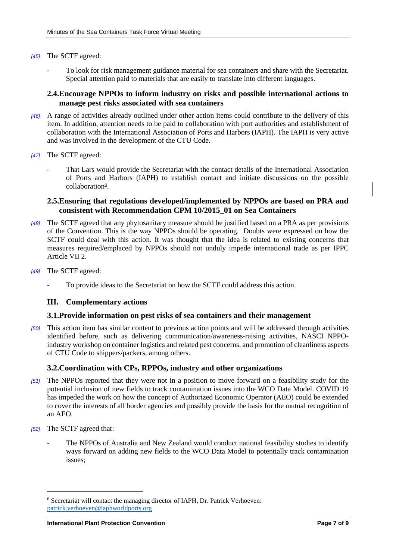### *[45]* The SCTF agreed:

- To look for risk management guidance material for sea containers and share with the Secretariat. Special attention paid to materials that are easily to translate into different languages.

### **2.4.Encourage NPPOs to inform industry on risks and possible international actions to manage pest risks associated with sea containers**

- *[46]* A range of activities already outlined under other action items could contribute to the delivery of this item. In addition, attention needs to be paid to collaboration with port authorities and establishment of collaboration with the International Association of Ports and Harbors (IAPH). The IAPH is very active and was involved in the development of the CTU Code.
- *[47]* The SCTF agreed:
	- That Lars would provide the Secretariat with the contact details of the International Association of Ports and Harbors (IAPH) to establish contact and initiate discussions on the possible collaboration<sup>6</sup>.

### **2.5.Ensuring that regulations developed/implemented by NPPOs are based on PRA and consistent with Recommendation CPM 10/2015\_01 on Sea Containers**

- *[48]* The SCTF agreed that any phytosanitary measure should be justified based on a PRA as per provisions of the Convention. This is the way NPPOs should be operating. Doubts were expressed on how the SCTF could deal with this action. It was thought that the idea is related to existing concerns that measures required/emplaced by NPPOs should not unduly impede international trade as per IPPC Article VII 2.
- *[49]* The SCTF agreed:
	- To provide ideas to the Secretariat on how the SCTF could address this action.

### **III. Complementary actions**

#### **3.1.Provide information on pest risks of sea containers and their management**

*[50]* This action item has similar content to previous action points and will be addressed through activities identified before, such as delivering communication/awareness-raising activities, NASCI NPPOindustry workshop on container logistics and related pest concerns, and promotion of cleanliness aspects of CTU Code to shippers/packers, among others.

### **3.2.Coordination with CPs, RPPOs, industry and other organizations**

- *[51]* The NPPOs reported that they were not in a position to move forward on a feasibility study for the potential inclusion of new fields to track contamination issues into the WCO Data Model. COVID 19 has impeded the work on how the concept of Authorized Economic Operator (AEO) could be extended to cover the interests of all border agencies and possibly provide the basis for the mutual recognition of an AEO.
- *[52]* The SCTF agreed that:

 $\overline{\phantom{a}}$ 

The NPPOs of Australia and New Zealand would conduct national feasibility studies to identify ways forward on adding new fields to the WCO Data Model to potentially track contamination issues;

<sup>6</sup> Secretariat will contact the managing director of IAPH, Dr. Patrick Verhoeven: [patrick.verhoeven@iaphworldports.org](mailto:patrick.verhoeven@iaphworldports.org)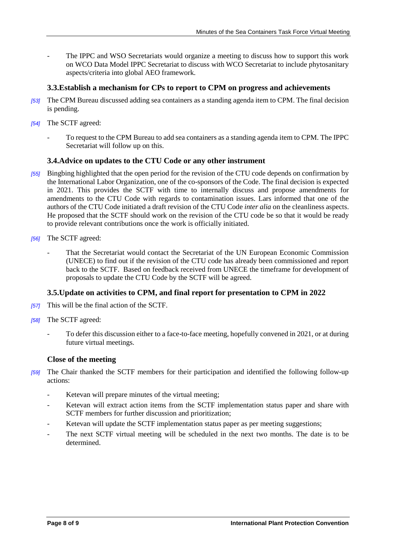The IPPC and WSO Secretariats would organize a meeting to discuss how to support this work on WCO Data Model IPPC Secretariat to discuss with WCO Secretariat to include phytosanitary aspects/criteria into global AEO framework.

# **3.3.Establish a mechanism for CPs to report to CPM on progress and achievements**

- *[53]* The CPM Bureau discussed adding sea containers as a standing agenda item to CPM. The final decision is pending.
- *[54]* The SCTF agreed:
	- To request to the CPM Bureau to add sea containers as a standing agenda item to CPM. The IPPC Secretariat will follow up on this.

# **3.4.Advice on updates to the CTU Code or any other instrument**

- *[55]* Bingbing highlighted that the open period for the revision of the CTU code depends on confirmation by the International Labor Organization, one of the co-sponsors of the Code. The final decision is expected in 2021. This provides the SCTF with time to internally discuss and propose amendments for amendments to the CTU Code with regards to contamination issues. Lars informed that one of the authors of the CTU Code initiated a draft revision of the CTU Code *inter alia* on the cleanliness aspects. He proposed that the SCTF should work on the revision of the CTU code be so that it would be ready to provide relevant contributions once the work is officially initiated.
- *[56]* The SCTF agreed:
	- That the Secretariat would contact the Secretariat of the UN European Economic Commission (UNECE) to find out if the revision of the CTU code has already been commissioned and report back to the SCTF. Based on feedback received from UNECE the timeframe for development of proposals to update the CTU Code by the SCTF will be agreed.

# **3.5.Update on activities to CPM, and final report for presentation to CPM in 2022**

- *[57]* This will be the final action of the SCTF.
- *[58]* The SCTF agreed:
	- To defer this discussion either to a face-to-face meeting, hopefully convened in 2021, or at during future virtual meetings.

# **Close of the meeting**

- *[59]* The Chair thanked the SCTF members for their participation and identified the following follow-up actions:
	- Ketevan will prepare minutes of the virtual meeting;
	- Ketevan will extract action items from the SCTF implementation status paper and share with SCTF members for further discussion and prioritization;
	- Ketevan will update the SCTF implementation status paper as per meeting suggestions;
	- The next SCTF virtual meeting will be scheduled in the next two months. The date is to be determined.